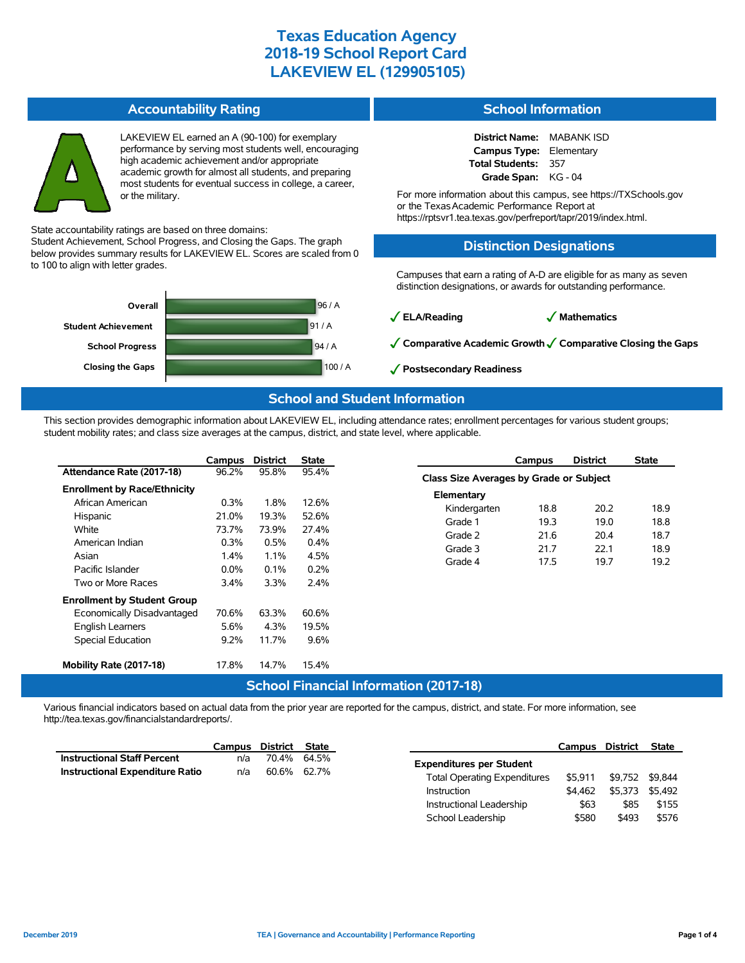#### **Accountability Rating**



LAKEVIEW EL earned an A (90-100) for exemplary performance by serving most students well, encouraging high academic achievement and/or appropriate academic growth for almost all students, and preparing most students for eventual success in college, a career, or the military.

State accountability ratings are based on three domains:

Student Achievement, School Progress, and Closing the Gaps. The graph below provides summary results for LAKEVIEW EL. Scores are scaled from 0 to 100 to align with letter grades.



### **School Information**

**District Name:** MABANK ISD **Campus Type:** Elementary **Total Students:** 357 **Grade Span:** KG - 04

For more information about this campus, see https://TXSchools.gov or the TexasAcademic Performance Report at https://rptsvr1.tea.texas.gov/perfreport/tapr/2019/index.html.

### **Distinction Designations**

Campuses that earn a rating of A-D are eligible for as many as seven distinction designations, or awards for outstanding performance.

✓**ELA/Reading** ✓ **Mathematics**

✓**Comparative Academic Growth**✓**Comparative Closing the Gaps**

School Leadership  $$580$  \$493 \$576

✓**Postsecondary Readiness**

### **School and Student Information**

This section provides demographic information about LAKEVIEW EL, including attendance rates; enrollment percentages for various student groups; student mobility rates; and class size averages at the campus, district, and state level, where applicable.

|                                               | Campus  | <b>District</b> | State |                                         | Campus | <b>District</b> | <b>State</b> |  |  |
|-----------------------------------------------|---------|-----------------|-------|-----------------------------------------|--------|-----------------|--------------|--|--|
| Attendance Rate (2017-18)                     | 96.2%   | 95.8%           | 95.4% | Class Size Averages by Grade or Subject |        |                 |              |  |  |
| <b>Enrollment by Race/Ethnicity</b>           |         |                 |       | Elementary                              |        |                 |              |  |  |
| African American                              | $0.3\%$ | 1.8%            | 12.6% | Kindergarten                            | 18.8   | 20.2            | 18.9         |  |  |
| Hispanic                                      | 21.0%   | 19.3%           | 52.6% | Grade 1                                 | 19.3   | 19.0            | 18.8         |  |  |
| White                                         | 73.7%   | 73.9%           | 27.4% | Grade 2                                 | 21.6   | 20.4            | 18.7         |  |  |
| American Indian                               | 0.3%    | 0.5%            | 0.4%  | Grade 3                                 | 21.7   | 22.1            | 18.9         |  |  |
| Asian                                         | 1.4%    | 1.1%            | 4.5%  | Grade 4                                 | 17.5   | 19.7            | 19.2         |  |  |
| Pacific Islander                              | $0.0\%$ | 0.1%            | 0.2%  |                                         |        |                 |              |  |  |
| Two or More Races                             | 3.4%    | 3.3%            | 2.4%  |                                         |        |                 |              |  |  |
| <b>Enrollment by Student Group</b>            |         |                 |       |                                         |        |                 |              |  |  |
| Economically Disadvantaged                    | 70.6%   | 63.3%           | 60.6% |                                         |        |                 |              |  |  |
| English Learners                              | 5.6%    | 4.3%            | 19.5% |                                         |        |                 |              |  |  |
| Special Education                             | $9.2\%$ | 11.7%           | 9.6%  |                                         |        |                 |              |  |  |
| Mobility Rate (2017-18)                       | 17.8%   | 14.7%           | 15.4% |                                         |        |                 |              |  |  |
| <b>School Financial Information (2017-18)</b> |         |                 |       |                                         |        |                 |              |  |  |

Various financial indicators based on actual data from the prior year are reported for the campus, district, and state. For more information, see http://tea.texas.gov/financialstandardreports/.

|                                    | Campus | District State |             |                                     | Campus District |                 | State   |
|------------------------------------|--------|----------------|-------------|-------------------------------------|-----------------|-----------------|---------|
| <b>Instructional Staff Percent</b> | n/a    |                | 70.4% 64.5% | <b>Expenditures per Student</b>     |                 |                 |         |
| Instructional Expenditure Ratio    | n/a    |                | 60.6% 62.7% |                                     |                 |                 |         |
|                                    |        |                |             | <b>Total Operating Expenditures</b> | \$5.911         | \$9.752 \$9.844 |         |
|                                    |        |                |             | Instruction                         | \$4.462         | \$5.373         | \$5.492 |
|                                    |        |                |             | Instructional Leadership            | \$63            | \$85            | \$155   |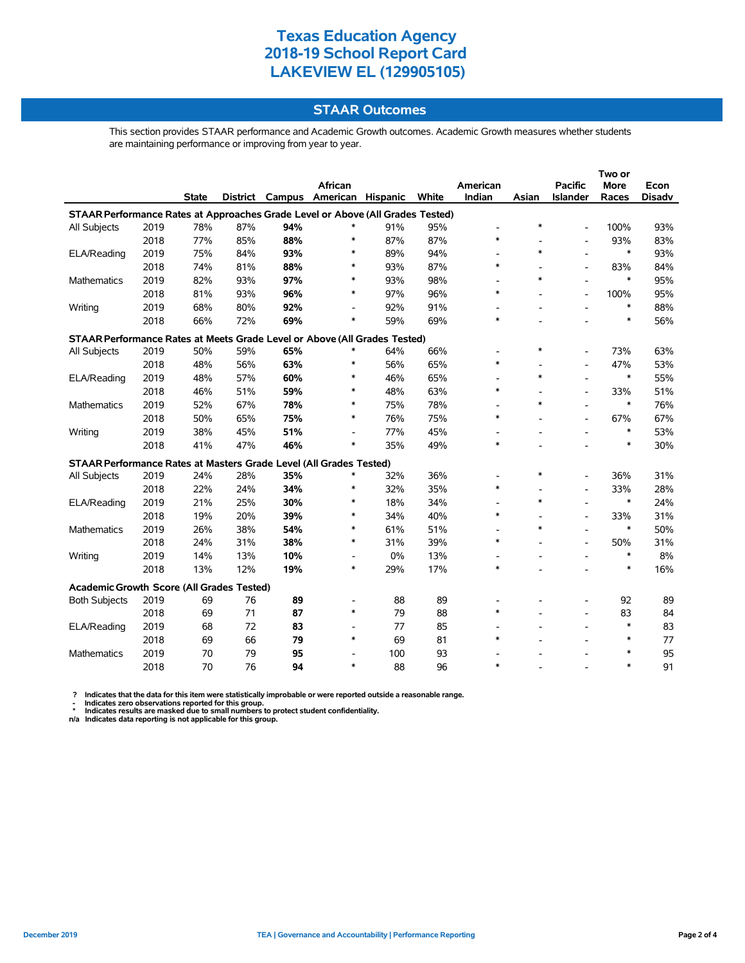### **STAAR Outcomes**

This section provides STAAR performance and Academic Growth outcomes. Academic Growth measures whether students are maintaining performance or improving from year to year.

|                                                                                |      |              |     |     |                                   |     |       |                          |        | Two or                   |             |               |  |
|--------------------------------------------------------------------------------|------|--------------|-----|-----|-----------------------------------|-----|-------|--------------------------|--------|--------------------------|-------------|---------------|--|
|                                                                                |      |              |     |     | African                           |     |       | American                 |        | <b>Pacific</b>           | <b>More</b> | Econ          |  |
|                                                                                |      | <b>State</b> |     |     | District Campus American Hispanic |     | White | Indian                   | Asian  | Islander                 | Races       | <b>Disadv</b> |  |
| STAAR Performance Rates at Approaches Grade Level or Above (All Grades Tested) |      |              |     |     |                                   |     |       |                          |        |                          |             |               |  |
| All Subjects                                                                   | 2019 | 78%          | 87% | 94% | *                                 | 91% | 95%   | $\overline{\phantom{0}}$ | $\ast$ | $\overline{\phantom{a}}$ | 100%        | 93%           |  |
|                                                                                | 2018 | 77%          | 85% | 88% | $\ast$                            | 87% | 87%   | $\ast$                   |        | $\overline{\phantom{a}}$ | 93%         | 83%           |  |
| ELA/Reading                                                                    | 2019 | 75%          | 84% | 93% | *                                 | 89% | 94%   | $\overline{\phantom{a}}$ | *      | L,                       | *           | 93%           |  |
|                                                                                | 2018 | 74%          | 81% | 88% | $\ast$                            | 93% | 87%   | $\ast$                   |        | $\overline{\phantom{a}}$ | 83%         | 84%           |  |
| <b>Mathematics</b>                                                             | 2019 | 82%          | 93% | 97% | $\ast$                            | 93% | 98%   |                          | $\ast$ |                          | *           | 95%           |  |
|                                                                                | 2018 | 81%          | 93% | 96% | *                                 | 97% | 96%   | $\ast$                   |        | $\overline{\phantom{a}}$ | 100%        | 95%           |  |
| Writing                                                                        | 2019 | 68%          | 80% | 92% | $\overline{\phantom{a}}$          | 92% | 91%   |                          |        |                          | $\ast$      | 88%           |  |
|                                                                                | 2018 | 66%          | 72% | 69% | *                                 | 59% | 69%   | $\ast$                   |        |                          | $\ast$      | 56%           |  |
| STAAR Performance Rates at Meets Grade Level or Above (All Grades Tested)      |      |              |     |     |                                   |     |       |                          |        |                          |             |               |  |
| All Subjects                                                                   | 2019 | 50%          | 59% | 65% | *                                 | 64% | 66%   |                          | ∗      |                          | 73%         | 63%           |  |
|                                                                                | 2018 | 48%          | 56% | 63% | $\ast$                            | 56% | 65%   | $\ast$                   |        | ÷,                       | 47%         | 53%           |  |
| ELA/Reading                                                                    | 2019 | 48%          | 57% | 60% | $\ast$                            | 46% | 65%   |                          | $\ast$ |                          | $\ast$      | 55%           |  |
|                                                                                | 2018 | 46%          | 51% | 59% | $\ast$                            | 48% | 63%   | *                        |        |                          | 33%         | 51%           |  |
| <b>Mathematics</b>                                                             | 2019 | 52%          | 67% | 78% | $\ast$                            | 75% | 78%   |                          | $\ast$ |                          | $\ast$      | 76%           |  |
|                                                                                | 2018 | 50%          | 65% | 75% | $\ast$                            | 76% | 75%   | $\ast$                   |        |                          | 67%         | 67%           |  |
| Writing                                                                        | 2019 | 38%          | 45% | 51% | $\overline{a}$                    | 77% | 45%   |                          |        |                          | $\ast$      | 53%           |  |
|                                                                                | 2018 | 41%          | 47% | 46% | $\ast$                            | 35% | 49%   | $\ast$                   |        |                          | $\ast$      | 30%           |  |
| STAAR Performance Rates at Masters Grade Level (All Grades Tested)             |      |              |     |     |                                   |     |       |                          |        |                          |             |               |  |
| All Subjects                                                                   | 2019 | 24%          | 28% | 35% | *                                 | 32% | 36%   |                          | *      |                          | 36%         | 31%           |  |
|                                                                                | 2018 | 22%          | 24% | 34% | ∗                                 | 32% | 35%   | $\ast$                   |        | $\overline{\phantom{a}}$ | 33%         | 28%           |  |
| ELA/Reading                                                                    | 2019 | 21%          | 25% | 30% | $\ast$                            | 18% | 34%   |                          | $\ast$ |                          | $\ast$      | 24%           |  |
|                                                                                | 2018 | 19%          | 20% | 39% | *                                 | 34% | 40%   | $\ast$                   |        |                          | 33%         | 31%           |  |
| Mathematics                                                                    | 2019 | 26%          | 38% | 54% | ∗                                 | 61% | 51%   |                          | $\ast$ |                          | $\ast$      | 50%           |  |
|                                                                                | 2018 | 24%          | 31% | 38% | *                                 | 31% | 39%   | $\ast$                   |        |                          | 50%         | 31%           |  |
| Writing                                                                        | 2019 | 14%          | 13% | 10% | $\overline{\phantom{a}}$          | 0%  | 13%   |                          |        |                          | $\ast$      | $8\%$         |  |
|                                                                                | 2018 | 13%          | 12% | 19% | *                                 | 29% | 17%   | $\ast$                   |        |                          | $\ast$      | 16%           |  |
| Academic Growth Score (All Grades Tested)                                      |      |              |     |     |                                   |     |       |                          |        |                          |             |               |  |
| <b>Both Subjects</b>                                                           | 2019 | 69           | 76  | 89  | $\overline{\phantom{a}}$          | 88  | 89    |                          |        |                          | 92          | 89            |  |
|                                                                                | 2018 | 69           | 71  | 87  | $\ast$                            | 79  | 88    | $\ast$                   |        | ÷,                       | 83          | 84            |  |
| ELA/Reading                                                                    | 2019 | 68           | 72  | 83  | $\overline{\phantom{a}}$          | 77  | 85    |                          |        | $\overline{a}$           | $\ast$      | 83            |  |
|                                                                                | 2018 | 69           | 66  | 79  | $\ast$                            | 69  | 81    | $\ast$                   |        |                          | $\ast$      | 77            |  |
| <b>Mathematics</b>                                                             | 2019 | 70           | 79  | 95  | $\overline{\phantom{a}}$          | 100 | 93    |                          |        |                          | *           | 95            |  |
|                                                                                | 2018 | 70           | 76  | 94  | $\ast$                            | 88  | 96    | $\ast$                   |        |                          | *           | 91            |  |
|                                                                                |      |              |     |     |                                   |     |       |                          |        |                          |             |               |  |

? Indicates that the data for this item were statistically improbable or were reported outside a reasonable range.<br>- Indicates zero observations reported for this group.<br>\* Indicates results are masked due to small numbers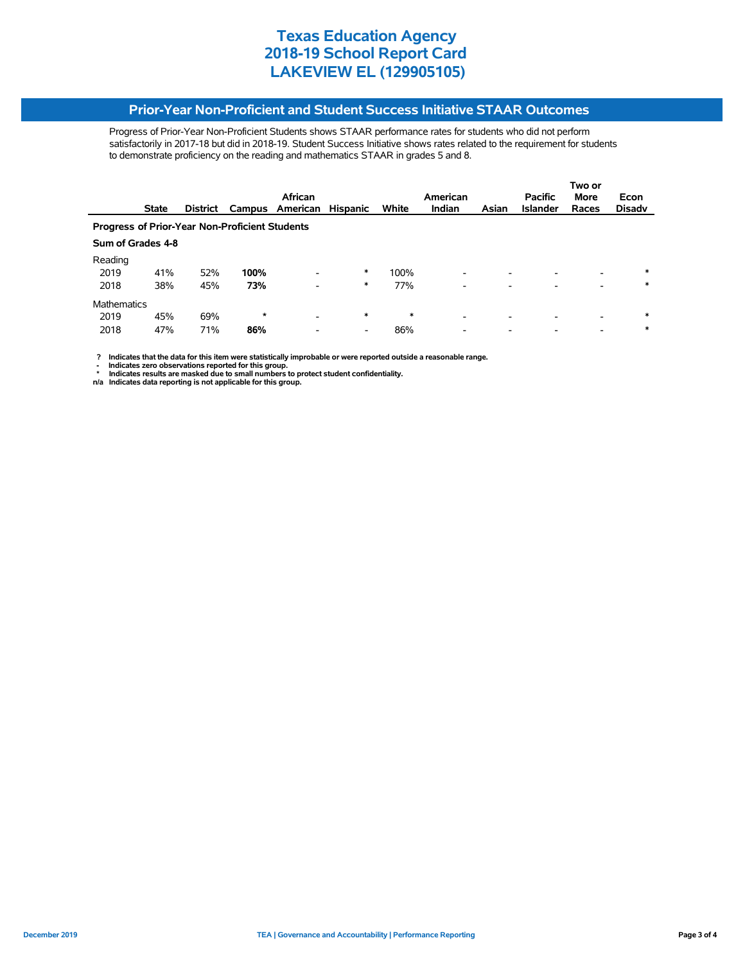#### **Prior-Year Non-Proficient and Student Success Initiative STAAR Outcomes**

Progress of Prior-Year Non-Proficient Students shows STAAR performance rates for students who did not perform satisfactorily in 2017-18 but did in 2018-19. Student Success Initiative shows rates related to the requirement for students to demonstrate proficiency on the reading and mathematics STAAR in grades 5 and 8.

|                                                       |                   | African<br>American |         |                          |                          |        |                          |       | Two or<br><b>Pacific</b><br><b>More</b><br>Econ |                          |               |  |
|-------------------------------------------------------|-------------------|---------------------|---------|--------------------------|--------------------------|--------|--------------------------|-------|-------------------------------------------------|--------------------------|---------------|--|
|                                                       | <b>State</b>      | <b>District</b>     | Campus  | American                 | <b>Hispanic</b>          | White  | Indian                   | Asian | <b>Islander</b>                                 | Races                    | <b>Disadv</b> |  |
| <b>Progress of Prior-Year Non-Proficient Students</b> |                   |                     |         |                          |                          |        |                          |       |                                                 |                          |               |  |
|                                                       | Sum of Grades 4-8 |                     |         |                          |                          |        |                          |       |                                                 |                          |               |  |
| Reading                                               |                   |                     |         |                          |                          |        |                          |       |                                                 |                          |               |  |
| 2019                                                  | 41%               | 52%                 | 100%    | $\overline{\phantom{0}}$ | $\ast$                   | 100%   | ۰                        |       |                                                 | $\overline{\phantom{0}}$ | $\ast$        |  |
| 2018                                                  | 38%               | 45%                 | 73%     | $\overline{\phantom{a}}$ | $\ast$                   | 77%    | ۰                        |       |                                                 |                          | $\ast$        |  |
| Mathematics                                           |                   |                     |         |                          |                          |        |                          |       |                                                 |                          |               |  |
| 2019                                                  | 45%               | 69%                 | $\star$ | $\overline{\phantom{0}}$ | *                        | $\ast$ | $\overline{\phantom{a}}$ | ۰     |                                                 |                          | $\ast$        |  |
| 2018                                                  | 47%               | 71%                 | 86%     | $\overline{\phantom{a}}$ | $\overline{\phantom{a}}$ | 86%    | -                        | ۰     |                                                 | $\overline{\phantom{0}}$ | $\ast$        |  |

 **? Indicates that the data for this item were statistically improbable or were reported outside a reasonable range.**

- Indicates zero observations reported for this group.<br>\* Indicates results are masked due to small numbers to protect student confidentiality.<br>n/a Indicates data reporting is not applicable for this group.